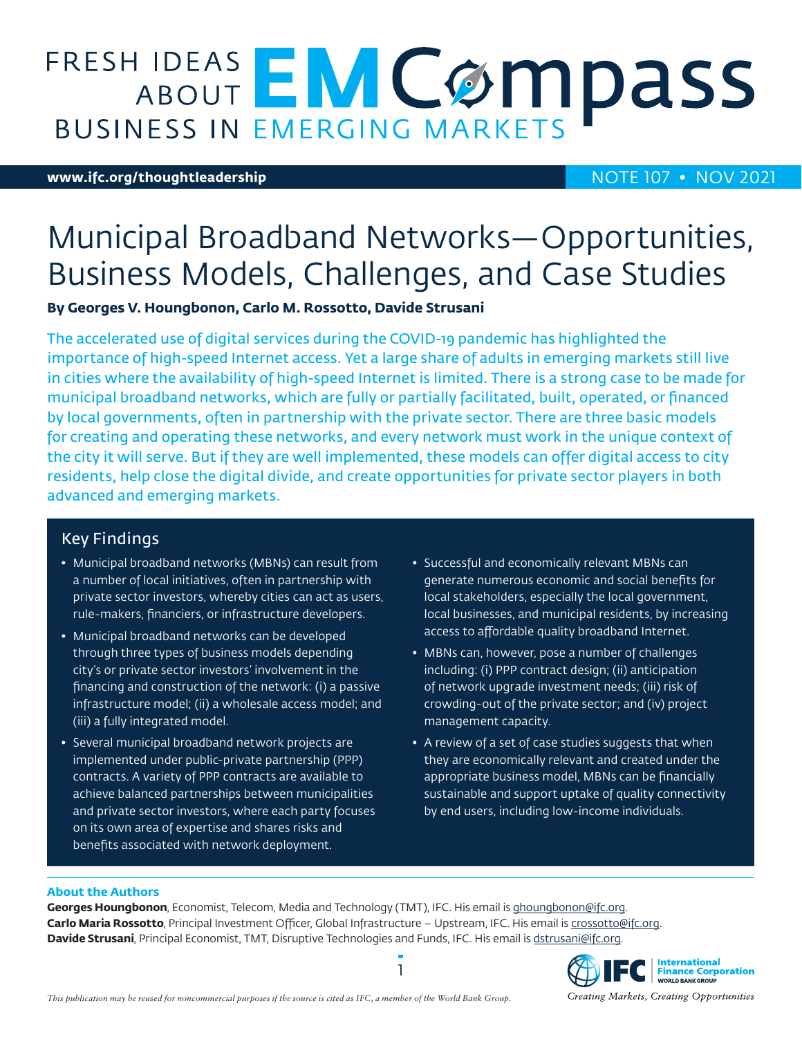# **FRESH IDEAS EMCOMPASS**

### **[www.ifc.org/thoughtleadership](http://www.ifc.org/thoughtleadership)** NOTE 107 • NOV 2021

# Municipal Broadband Networks—Opportunities, Business Models, Challenges, and Case Studies

**By Georges V. Houngbonon, Carlo M. Rossotto, Davide Strusani**

The accelerated use of digital services during the COVID-19 pandemic has highlighted the importance of high-speed Internet access. Yet a large share of adults in emerging markets still live in cities where the availability of high-speed Internet is limited. There is a strong case to be made for municipal broadband networks, which are fully or partially facilitated, built, operated, or financed by local governments, often in partnership with the private sector. There are three basic models for creating and operating these networks, and every network must work in the unique context of the city it will serve. But if they are well implemented, these models can offer digital access to city residents, help close the digital divide, and create opportunities for private sector players in both advanced and emerging markets.

# Key Findings

- Municipal broadband networks (MBNs) can result from a number of local initiatives, often in partnership with private sector investors, whereby cities can act as users, rule-makers, financiers, or infrastructure developers.
- Municipal broadband networks can be developed through three types of business models depending city's or private sector investors' involvement in the financing and construction of the network: (i) a passive infrastructure model; (ii) a wholesale access model; and (iii) a fully integrated model.
- Several municipal broadband network projects are implemented under public-private partnership (PPP) contracts. A variety of PPP contracts are available to achieve balanced partnerships between municipalities and private sector investors, where each party focuses on its own area of expertise and shares risks and benefits associated with network deployment.
- Successful and economically relevant MBNs can generate numerous economic and social benefits for local stakeholders, especially the local government, local businesses, and municipal residents, by increasing access to affordable quality broadband Internet.
- MBNs can, however, pose a number of challenges including: (i) PPP contract design; (ii) anticipation of network upgrade investment needs; (iii) risk of crowding-out of the private sector; and (iv) project management capacity.
- A review of a set of case studies suggests that when they are economically relevant and created under the appropriate business model, MBNs can be financially sustainable and support uptake of quality connectivity by end users, including low-income individuals.

### **About the Authors**

Georges Houngbonon, Economist, Telecom, Media and Technology (TMT), IFC. His email is [ghoungbonon@ifc.org.](mailto:ghoungbonon@ifc.org) **Carlo Maria Rossotto**, Principal Investment Officer, Global Infrastructure – Upstream, IFC. His email is [crossotto@ifc.org.](mailto:crossotto@ifc.org) **Davide Strusani**, Principal Economist, TMT, Disruptive Technologies and Funds, IFC. His email is [dstrusani@ifc.org](mailto:dstrusani@ifc.org).



Creating Markets, Creating Opportunities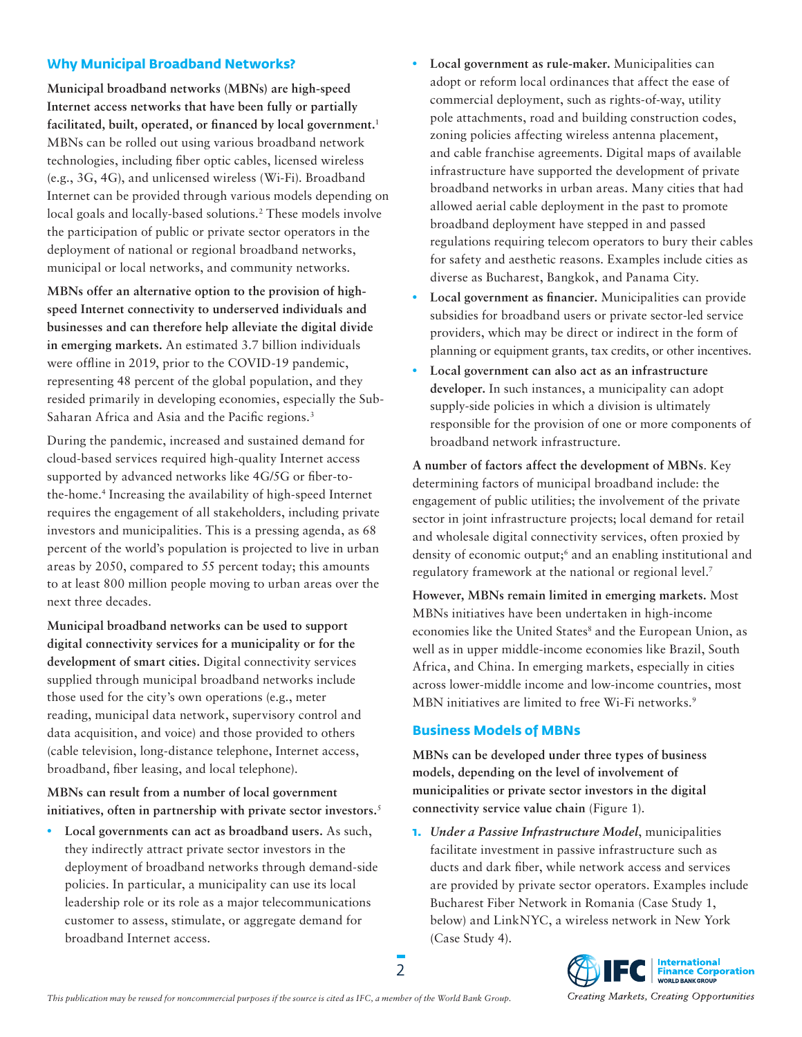### **Why Municipal Broadband Networks?**

**Municipal broadband networks (MBNs) are high-speed Internet access networks that have been fully or partially facilitated, built, operated, or financed by local government.**[1](#page-7-0) MBNs can be rolled out using various broadband network technologies, including fiber optic cables, licensed wireless (e.g., 3G, 4G), and unlicensed wireless (Wi-Fi). Broadband Internet can be provided through various models depending on local goals and locally-based solutions.<sup>[2](#page-7-1)</sup> These models involve the participation of public or private sector operators in the deployment of national or regional broadband networks, municipal or local networks, and community networks.

**MBNs offer an alternative option to the provision of highspeed Internet connectivity to underserved individuals and businesses and can therefore help alleviate the digital divide in emerging markets.** An estimated 3.7 billion individuals were offline in 2019, prior to the COVID-19 pandemic, representing 48 percent of the global population, and they resided primarily in developing economies, especially the Sub-Saharan Africa and Asia and the Pacific regions.<sup>[3](#page-7-2)</sup>

During the pandemic, increased and sustained demand for cloud-based services required high-quality Internet access supported by advanced networks like 4G/5G or fiber-tothe-home.[4](#page-7-3) Increasing the availability of high-speed Internet requires the engagement of all stakeholders, including private investors and municipalities. This is a pressing agenda, as 68 percent of the world's population is projected to live in urban areas by 2050, compared to 55 percent today; this amounts to at least 800 million people moving to urban areas over the next three decades.

**Municipal broadband networks can be used to support digital connectivity services for a municipality or for the development of smart cities.** Digital connectivity services supplied through municipal broadband networks include those used for the city's own operations (e.g., meter reading, municipal data network, supervisory control and data acquisition, and voice) and those provided to others (cable television, long-distance telephone, Internet access, broadband, fiber leasing, and local telephone).

### **MBNs can result from a number of local government initiatives, often in partnership with private sector investors.**[5](#page-7-4)

**• Local governments can act as broadband users.** As such, they indirectly attract private sector investors in the deployment of broadband networks through demand-side policies. In particular, a municipality can use its local leadership role or its role as a major telecommunications customer to assess, stimulate, or aggregate demand for broadband Internet access.

- **• Local government as rule-maker.** Municipalities can adopt or reform local ordinances that affect the ease of commercial deployment, such as rights-of-way, utility pole attachments, road and building construction codes, zoning policies affecting wireless antenna placement, and cable franchise agreements. Digital maps of available infrastructure have supported the development of private broadband networks in urban areas. Many cities that had allowed aerial cable deployment in the past to promote broadband deployment have stepped in and passed regulations requiring telecom operators to bury their cables for safety and aesthetic reasons. Examples include cities as diverse as Bucharest, Bangkok, and Panama City.
- **• Local government as financier.** Municipalities can provide subsidies for broadband users or private sector-led service providers, which may be direct or indirect in the form of planning or equipment grants, tax credits, or other incentives.
- **• Local government can also act as an infrastructure developer.** In such instances, a municipality can adopt supply-side policies in which a division is ultimately responsible for the provision of one or more components of broadband network infrastructure.

**A number of factors affect the development of MBNs**. Key determining factors of municipal broadband include: the engagement of public utilities; the involvement of the private sector in joint infrastructure projects; local demand for retail and wholesale digital connectivity services, often proxied by density of economic output;<sup>[6](#page-7-5)</sup> and an enabling institutional and regulatory framework at the national or regional level[.7](#page-7-6)

**However, MBNs remain limited in emerging markets.** Most MBNs initiatives have been undertaken in high-income economies like the United States<sup>[8](#page-7-7)</sup> and the European Union, as well as in upper middle-income economies like Brazil, South Africa, and China. In emerging markets, especially in cities across lower-middle income and low-income countries, most MBN initiatives are limited to free Wi-Fi networks.<sup>[9](#page-7-8)</sup>

### **Business Models of MBNs**

**MBNs can be developed under three types of business models, depending on the level of involvement of municipalities or private sector investors in the digital connectivity service value chain** (Figure 1).

**1.** *Under a Passive Infrastructure Model*, municipalities facilitate investment in passive infrastructure such as ducts and dark fiber, while network access and services are provided by private sector operators. Examples include Bucharest Fiber Network in Romania (Case Study 1, below) and LinkNYC, a wireless network in New York (Case Study 4).



2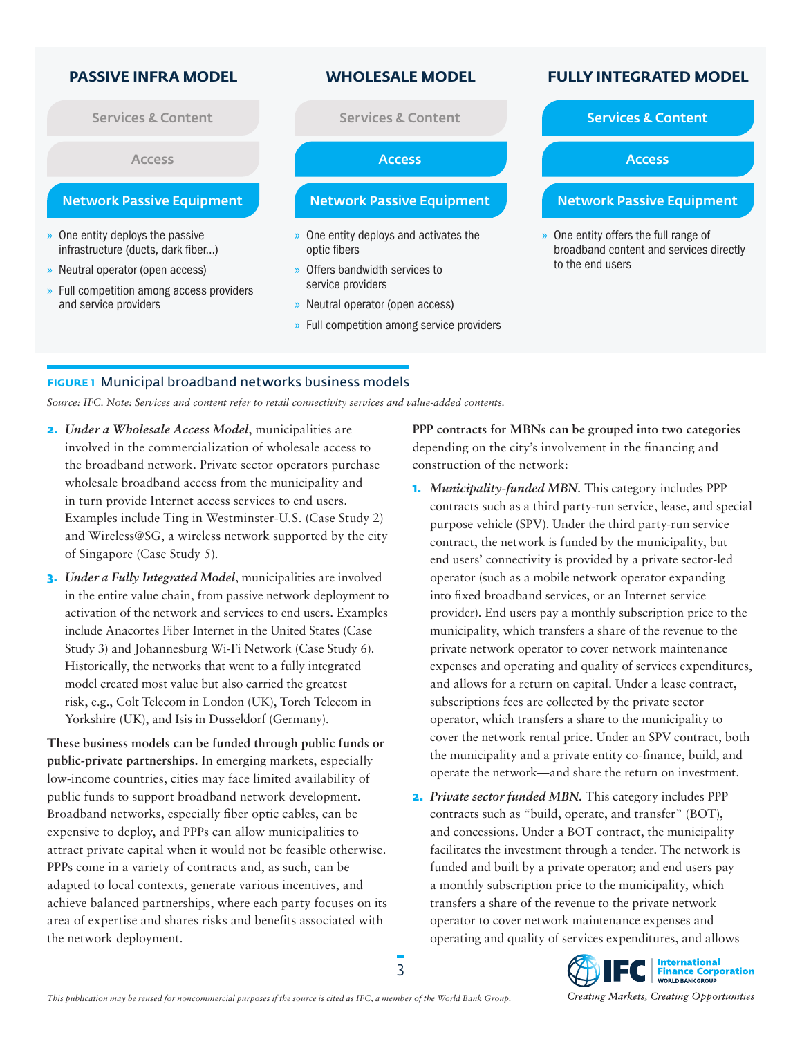- » One entity deploys the passive infrastructure (ducts, dark fiber…)
- » Neutral operator (open access)
- » Full competition among access providers and service providers

Services & Content Services & Content Services & Content Services & Content

Access Access Access Access Access Access Access Access Access Access Access Access Access

### Network Passive Equipment **Network Passive Equipment Network Passive Equipment**

- » One entity deploys and activates the optic fibers
- » Offers bandwidth services to service providers
- » Neutral operator (open access)
- » Full competition among service providers

## **PASSIVE INFRA MODEL WHOLESALE MODEL FULLY INTEGRATED MODEL**

» One entity offers the full range of broadband content and services directly to the end users

### **FIGURE 1** Municipal broadband networks business models

*Source: IFC. Note: Services and content refer to retail connectivity services and value-added contents.*

- **2.** *Under a Wholesale Access Model*, municipalities are involved in the commercialization of wholesale access to the broadband network. Private sector operators purchase wholesale broadband access from the municipality and in turn provide Internet access services to end users. Examples include Ting in Westminster-U.S. (Case Study 2) and Wireless@SG, a wireless network supported by the city of Singapore (Case Study 5).
- **3.** *Under a Fully Integrated Model*, municipalities are involved in the entire value chain, from passive network deployment to activation of the network and services to end users. Examples include Anacortes Fiber Internet in the United States (Case Study 3) and Johannesburg Wi-Fi Network (Case Study 6). Historically, the networks that went to a fully integrated model created most value but also carried the greatest risk, e.g., Colt Telecom in London (UK), Torch Telecom in Yorkshire (UK), and Isis in Dusseldorf (Germany).

**These business models can be funded through public funds or public-private partnerships.** In emerging markets, especially low-income countries, cities may face limited availability of public funds to support broadband network development. Broadband networks, especially fiber optic cables, can be expensive to deploy, and PPPs can allow municipalities to attract private capital when it would not be feasible otherwise. PPPs come in a variety of contracts and, as such, can be adapted to local contexts, generate various incentives, and achieve balanced partnerships, where each party focuses on its area of expertise and shares risks and benefits associated with the network deployment.

**PPP contracts for MBNs can be grouped into two categories**  depending on the city's involvement in the financing and construction of the network:

- **1.** *Municipality-funded MBN.* This category includes PPP contracts such as a third party-run service, lease, and special purpose vehicle (SPV). Under the third party-run service contract, the network is funded by the municipality, but end users' connectivity is provided by a private sector-led operator (such as a mobile network operator expanding into fixed broadband services, or an Internet service provider). End users pay a monthly subscription price to the municipality, which transfers a share of the revenue to the private network operator to cover network maintenance expenses and operating and quality of services expenditures, and allows for a return on capital. Under a lease contract, subscriptions fees are collected by the private sector operator, which transfers a share to the municipality to cover the network rental price. Under an SPV contract, both the municipality and a private entity co-finance, build, and operate the network—and share the return on investment.
- **2.** *Private sector funded MBN.* This category includes PPP contracts such as "build, operate, and transfer" (BOT), and concessions. Under a BOT contract, the municipality facilitates the investment through a tender. The network is funded and built by a private operator; and end users pay a monthly subscription price to the municipality, which transfers a share of the revenue to the private network operator to cover network maintenance expenses and operating and quality of services expenditures, and allows

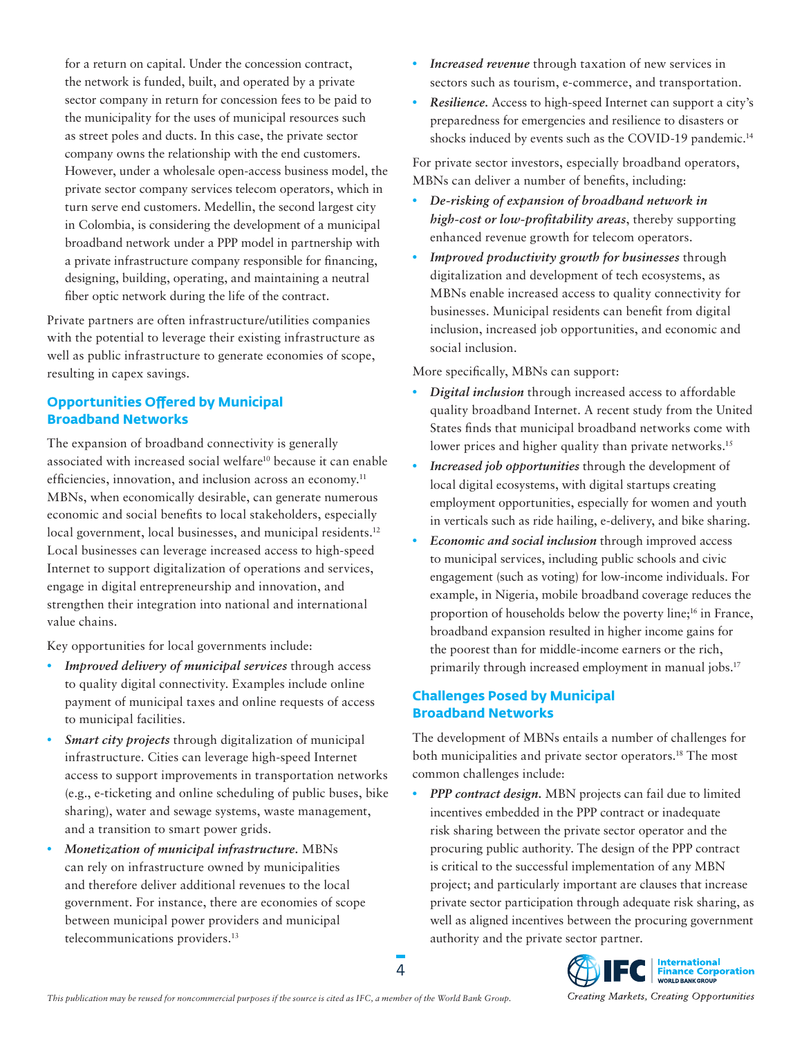for a return on capital. Under the concession contract, the network is funded, built, and operated by a private sector company in return for concession fees to be paid to the municipality for the uses of municipal resources such as street poles and ducts. In this case, the private sector company owns the relationship with the end customers. However, under a wholesale open-access business model, the private sector company services telecom operators, which in turn serve end customers. Medellin, the second largest city in Colombia, is considering the development of a municipal broadband network under a PPP model in partnership with a private infrastructure company responsible for financing, designing, building, operating, and maintaining a neutral fiber optic network during the life of the contract.

Private partners are often infrastructure/utilities companies with the potential to leverage their existing infrastructure as well as public infrastructure to generate economies of scope, resulting in capex savings.

### **Opportunities Offered by Municipal Broadband Networks**

The expansion of broadband connectivity is generally associated with increased social welfare<sup>10</sup> because it can enable efficiencies, innovation, and inclusion across an economy.<sup>11</sup> MBNs, when economically desirable, can generate numerous economic and social benefits to local stakeholders, especially local government, local businesses, and municipal residents.<sup>12</sup> Local businesses can leverage increased access to high-speed Internet to support digitalization of operations and services, engage in digital entrepreneurship and innovation, and strengthen their integration into national and international value chains.

Key opportunities for local governments include:

- **•** *Improved delivery of municipal services* through access to quality digital connectivity. Examples include online payment of municipal taxes and online requests of access to municipal facilities.
- **•** *Smart city projects* through digitalization of municipal infrastructure. Cities can leverage high-speed Internet access to support improvements in transportation networks (e.g., e-ticketing and online scheduling of public buses, bike sharing), water and sewage systems, waste management, and a transition to smart power grids.
- **•** *Monetization of municipal infrastructure.* MBNs can rely on infrastructure owned by municipalities and therefore deliver additional revenues to the local government. For instance, there are economies of scope between municipal power providers and municipal telecommunications providers[.13](#page-7-12)
- **•** *Increased revenue* through taxation of new services in sectors such as tourism, e-commerce, and transportation.
- **•** *Resilience.* Access to high-speed Internet can support a city's preparedness for emergencies and resilience to disasters or shocks induced by events such as the COVID-19 pandemic.<sup>14</sup>

For private sector investors, especially broadband operators, MBNs can deliver a number of benefits, including:

- **•** *De-risking of expansion of broadband network in high-cost or low-profitability areas*, thereby supporting enhanced revenue growth for telecom operators.
- **•** *Improved productivity growth for businesses* through digitalization and development of tech ecosystems, as MBNs enable increased access to quality connectivity for businesses. Municipal residents can benefit from digital inclusion, increased job opportunities, and economic and social inclusion.

More specifically, MBNs can support:

- **•** *Digital inclusion* through increased access to affordable quality broadband Internet. A recent study from the United States finds that municipal broadband networks come with lower prices and higher quality than private networks.<sup>15</sup>
- **•** *Increased job opportunities* through the development of local digital ecosystems, with digital startups creating employment opportunities, especially for women and youth in verticals such as ride hailing, e-delivery, and bike sharing.
- **•** *Economic and social inclusion* through improved access to municipal services, including public schools and civic engagement (such as voting) for low-income individuals. For example, in Nigeria, mobile broadband coverage reduces the proportion of households below the poverty line;<sup>[16](#page-7-15)</sup> in France, broadband expansion resulted in higher income gains for the poorest than for middle-income earners or the rich, primarily through increased employment in manual jobs.<sup>17</sup>

# **Challenges Posed by Municipal Broadband Networks**

The development of MBNs entails a number of challenges for both municipalities and private sector operators[.18](#page-7-17) The most common challenges include:

**•** *PPP contract design.* MBN projects can fail due to limited incentives embedded in the PPP contract or inadequate risk sharing between the private sector operator and the procuring public authority. The design of the PPP contract is critical to the successful implementation of any MBN project; and particularly important are clauses that increase private sector participation through adequate risk sharing, as well as aligned incentives between the procuring government authority and the private sector partner.

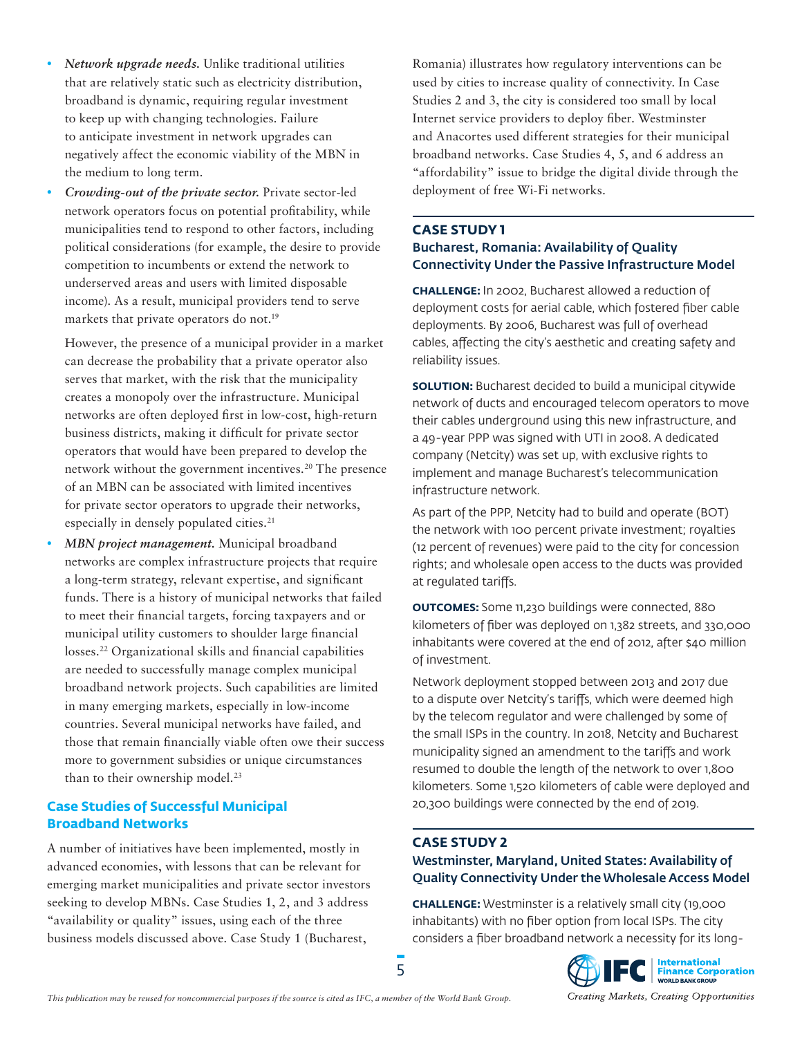- **•** *Network upgrade needs.* Unlike traditional utilities that are relatively static such as electricity distribution, broadband is dynamic, requiring regular investment to keep up with changing technologies. Failure to anticipate investment in network upgrades can negatively affect the economic viability of the MBN in the medium to long term.
- **•** *Crowding-out of the private sector.* Private sector-led network operators focus on potential profitability, while municipalities tend to respond to other factors, including political considerations (for example, the desire to provide competition to incumbents or extend the network to underserved areas and users with limited disposable income). As a result, municipal providers tend to serve markets that private operators do not.<sup>19</sup>

However, the presence of a municipal provider in a market can decrease the probability that a private operator also serves that market, with the risk that the municipality creates a monopoly over the infrastructure. Municipal networks are often deployed first in low-cost, high-return business districts, making it difficult for private sector operators that would have been prepared to develop the network without the government incentives.<sup>20</sup> The presence of an MBN can be associated with limited incentives for private sector operators to upgrade their networks, especially in densely populated cities.<sup>[21](#page-7-20)</sup>

**•** *MBN project management.* Municipal broadband networks are complex infrastructure projects that require a long-term strategy, relevant expertise, and significant funds. There is a history of municipal networks that failed to meet their financial targets, forcing taxpayers and or municipal utility customers to shoulder large financial losses.[22](#page-7-21) Organizational skills and financial capabilities are needed to successfully manage complex municipal broadband network projects. Such capabilities are limited in many emerging markets, especially in low-income countries. Several municipal networks have failed, and those that remain financially viable often owe their success more to government subsidies or unique circumstances than to their ownership model.<sup>[23](#page-7-22)</sup>

### **Case Studies of Successful Municipal Broadband Networks**

A number of initiatives have been implemented, mostly in advanced economies, with lessons that can be relevant for emerging market municipalities and private sector investors seeking to develop MBNs. Case Studies 1, 2, and 3 address "availability or quality" issues, using each of the three business models discussed above. Case Study 1 (Bucharest,

Romania) illustrates how regulatory interventions can be used by cities to increase quality of connectivity. In Case Studies 2 and 3, the city is considered too small by local Internet service providers to deploy fiber. Westminster and Anacortes used different strategies for their municipal broadband networks. Case Studies 4, 5, and 6 address an "affordability" issue to bridge the digital divide through the deployment of free Wi-Fi networks.

### **CASE STUDY 1**  Bucharest, Romania: Availability of Quality Connectivity Under the Passive Infrastructure Model

**CHALLENGE:** In 2002, Bucharest allowed a reduction of deployment costs for aerial cable, which fostered fiber cable deployments. By 2006, Bucharest was full of overhead cables, affecting the city's aesthetic and creating safety and reliability issues.

**SOLUTION:** Bucharest decided to build a municipal citywide network of ducts and encouraged telecom operators to move their cables underground using this new infrastructure, and a 49-year PPP was signed with UTI in 2008. A dedicated company (Netcity) was set up, with exclusive rights to implement and manage Bucharest's telecommunication infrastructure network.

As part of the PPP, Netcity had to build and operate (BOT) the network with 100 percent private investment; royalties (12 percent of revenues) were paid to the city for concession rights; and wholesale open access to the ducts was provided at regulated tariffs.

**OUTCOMES:** Some 11,230 buildings were connected, 880 kilometers of fiber was deployed on 1,382 streets, and 330,000 inhabitants were covered at the end of 2012, after \$40 million of investment.

Network deployment stopped between 2013 and 2017 due to a dispute over Netcity's tariffs, which were deemed high by the telecom regulator and were challenged by some of the small ISPs in the country. In 2018, Netcity and Bucharest municipality signed an amendment to the tariffs and work resumed to double the length of the network to over 1,800 kilometers. Some 1,520 kilometers of cable were deployed and 20,300 buildings were connected by the end of 2019.

### **CASE STUDY 2**

5

### Westminster, Maryland, United States: Availability of Quality Connectivity Under the Wholesale Access Model

**CHALLENGE:** Westminster is a relatively small city (19,000 inhabitants) with no fiber option from local ISPs. The city considers a fiber broadband network a necessity for its long-

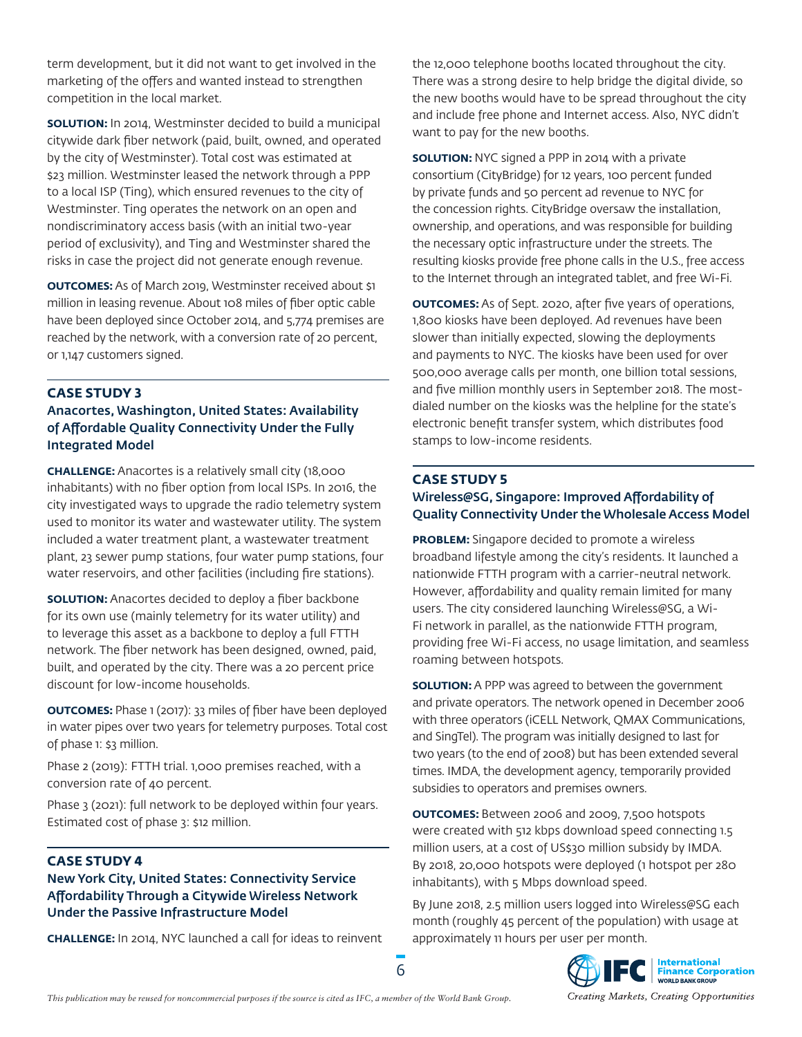term development, but it did not want to get involved in the marketing of the offers and wanted instead to strengthen competition in the local market.

**SOLUTION:** In 2014, Westminster decided to build a municipal citywide dark fiber network (paid, built, owned, and operated by the city of Westminster). Total cost was estimated at \$23 million. Westminster leased the network through a PPP to a local ISP (Ting), which ensured revenues to the city of Westminster. Ting operates the network on an open and nondiscriminatory access basis (with an initial two-year period of exclusivity), and Ting and Westminster shared the risks in case the project did not generate enough revenue.

**OUTCOMES:** As of March 2019, Westminster received about \$1 million in leasing revenue. About 108 miles of fiber optic cable have been deployed since October 2014, and 5,774 premises are reached by the network, with a conversion rate of 20 percent, or 1,147 customers signed.

### **CASE STUDY 3**

### Anacortes, Washington, United States: Availability of Affordable Quality Connectivity Under the Fully Integrated Model

**CHALLENGE:** Anacortes is a relatively small city (18,000 inhabitants) with no fiber option from local ISPs. In 2016, the city investigated ways to upgrade the radio telemetry system used to monitor its water and wastewater utility. The system included a water treatment plant, a wastewater treatment plant, 23 sewer pump stations, four water pump stations, four water reservoirs, and other facilities (including fire stations).

**SOLUTION:** Anacortes decided to deploy a fiber backbone for its own use (mainly telemetry for its water utility) and to leverage this asset as a backbone to deploy a full FTTH network. The fiber network has been designed, owned, paid, built, and operated by the city. There was a 20 percent price discount for low-income households.

**OUTCOMES:** Phase 1 (2017): 33 miles of fiber have been deployed in water pipes over two years for telemetry purposes. Total cost of phase 1: \$3 million.

Phase 2 (2019): FTTH trial. 1,000 premises reached, with a conversion rate of 40 percent.

Phase 3 (2021): full network to be deployed within four years. Estimated cost of phase 3: \$12 million.

### **CASE STUDY 4**

### New York City, United States: Connectivity Service Affordability Through a Citywide Wireless Network Under the Passive Infrastructure Model

**CHALLENGE:** In 2014, NYC launched a call for ideas to reinvent

the 12,000 telephone booths located throughout the city. There was a strong desire to help bridge the digital divide, so the new booths would have to be spread throughout the city and include free phone and Internet access. Also, NYC didn't want to pay for the new booths.

**SOLUTION:** NYC signed a PPP in 2014 with a private consortium (CityBridge) for 12 years, 100 percent funded by private funds and 50 percent ad revenue to NYC for the concession rights. CityBridge oversaw the installation, ownership, and operations, and was responsible for building the necessary optic infrastructure under the streets. The resulting kiosks provide free phone calls in the U.S., free access to the Internet through an integrated tablet, and free Wi-Fi.

**OUTCOMES:** As of Sept. 2020, after five years of operations, 1,800 kiosks have been deployed. Ad revenues have been slower than initially expected, slowing the deployments and payments to NYC. The kiosks have been used for over 500,000 average calls per month, one billion total sessions, and five million monthly users in September 2018. The mostdialed number on the kiosks was the helpline for the state's electronic benefit transfer system, which distributes food stamps to low-income residents.

# **CASE STUDY 5**

### Wireless@SG, Singapore: Improved Affordability of Quality Connectivity Under the Wholesale Access Model

**PROBLEM:** Singapore decided to promote a wireless broadband lifestyle among the city's residents. It launched a nationwide FTTH program with a carrier-neutral network. However, affordability and quality remain limited for many users. The city considered launching Wireless@SG, a Wi-Fi network in parallel, as the nationwide FTTH program, providing free Wi-Fi access, no usage limitation, and seamless roaming between hotspots.

**SOLUTION:** A PPP was agreed to between the government and private operators. The network opened in December 2006 with three operators (iCELL Network, QMAX Communications, and SingTel). The program was initially designed to last for two years (to the end of 2008) but has been extended several times. IMDA, the development agency, temporarily provided subsidies to operators and premises owners.

**OUTCOMES:** Between 2006 and 2009, 7,500 hotspots were created with 512 kbps download speed connecting 1.5 million users, at a cost of US\$30 million subsidy by IMDA. By 2018, 20,000 hotspots were deployed (1 hotspot per 280 inhabitants), with 5 Mbps download speed.

By June 2018, 2.5 million users logged into Wireless@SG each month (roughly 45 percent of the population) with usage at approximately 11 hours per user per month.

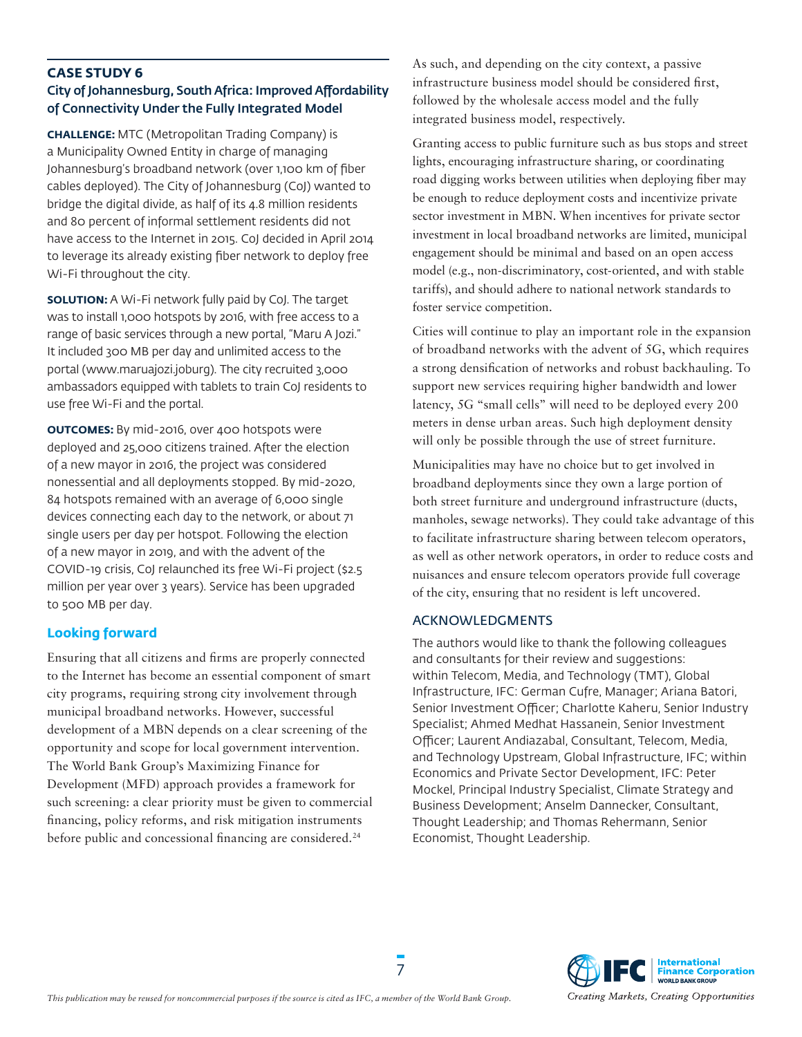### **CASE STUDY 6** City of Johannesburg, South Africa: Improved Affordability of Connectivity Under the Fully Integrated Model

**CHALLENGE:** MTC (Metropolitan Trading Company) is a Municipality Owned Entity in charge of managing Johannesburg's broadband network (over 1,100 km of fiber cables deployed). The City of Johannesburg (CoJ) wanted to bridge the digital divide, as half of its 4.8 million residents and 80 percent of informal settlement residents did not have access to the Internet in 2015. CoJ decided in April 2014 to leverage its already existing fiber network to deploy free Wi-Fi throughout the city.

**SOLUTION:** A Wi-Fi network fully paid by CoJ. The target was to install 1,000 hotspots by 2016, with free access to a range of basic services through a new portal, "Maru A Jozi." It included 300 MB per day and unlimited access to the portal (www.maruajozi.joburg). The city recruited 3,000 ambassadors equipped with tablets to train CoJ residents to use free Wi-Fi and the portal.

**OUTCOMES:** By mid-2016, over 400 hotspots were deployed and 25,000 citizens trained. After the election of a new mayor in 2016, the project was considered nonessential and all deployments stopped. By mid-2020, 84 hotspots remained with an average of 6,000 single devices connecting each day to the network, or about 71 single users per day per hotspot. Following the election of a new mayor in 2019, and with the advent of the COVID-19 crisis, CoJ relaunched its free Wi-Fi project (\$2.5 million per year over 3 years). Service has been upgraded to 500 MB per day.

### **Looking forward**

Ensuring that all citizens and firms are properly connected to the Internet has become an essential component of smart city programs, requiring strong city involvement through municipal broadband networks. However, successful development of a MBN depends on a clear screening of the opportunity and scope for local government intervention. The World Bank Group's Maximizing Finance for Development (MFD) approach provides a framework for such screening: a clear priority must be given to commercial financing, policy reforms, and risk mitigation instruments before public and concessional financing are considered.<sup>24</sup>

As such, and depending on the city context, a passive infrastructure business model should be considered first, followed by the wholesale access model and the fully integrated business model, respectively.

Granting access to public furniture such as bus stops and street lights, encouraging infrastructure sharing, or coordinating road digging works between utilities when deploying fiber may be enough to reduce deployment costs and incentivize private sector investment in MBN. When incentives for private sector investment in local broadband networks are limited, municipal engagement should be minimal and based on an open access model (e.g., non-discriminatory, cost-oriented, and with stable tariffs), and should adhere to national network standards to foster service competition.

Cities will continue to play an important role in the expansion of broadband networks with the advent of 5G, which requires a strong densification of networks and robust backhauling. To support new services requiring higher bandwidth and lower latency, 5G "small cells" will need to be deployed every 200 meters in dense urban areas. Such high deployment density will only be possible through the use of street furniture.

Municipalities may have no choice but to get involved in broadband deployments since they own a large portion of both street furniture and underground infrastructure (ducts, manholes, sewage networks). They could take advantage of this to facilitate infrastructure sharing between telecom operators, as well as other network operators, in order to reduce costs and nuisances and ensure telecom operators provide full coverage of the city, ensuring that no resident is left uncovered.

# ACKNOWLEDGMENTS

The authors would like to thank the following colleagues and consultants for their review and suggestions: within Telecom, Media, and Technology (TMT), Global Infrastructure, IFC: German Cufre, Manager; Ariana Batori, Senior Investment Officer; Charlotte Kaheru, Senior Industry Specialist; Ahmed Medhat Hassanein, Senior Investment Officer; Laurent Andiazabal, Consultant, Telecom, Media, and Technology Upstream, Global Infrastructure, IFC; within Economics and Private Sector Development, IFC: Peter Mockel, Principal Industry Specialist, Climate Strategy and Business Development; Anselm Dannecker, Consultant, Thought Leadership; and Thomas Rehermann, Senior Economist, Thought Leadership.